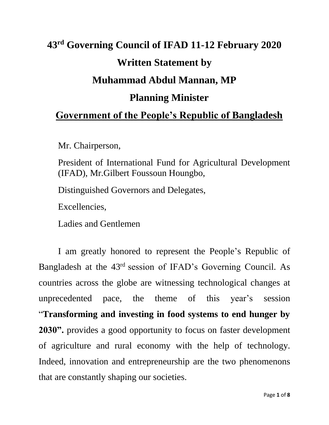## **43 rd Governing Council of IFAD 11-12 February 2020 Written Statement by Muhammad Abdul Mannan, MP Planning Minister Government of the People's Republic of Bangladesh**

Mr. Chairperson,

President of International Fund for Agricultural Development (IFAD), Mr.Gilbert Foussoun Houngbo,

Distinguished Governors and Delegates,

Excellencies,

Ladies and Gentlemen

I am greatly honored to represent the People's Republic of Bangladesh at the 43<sup>rd</sup> session of IFAD's Governing Council. As countries across the globe are witnessing technological changes at unprecedented pace, the theme of this year's session "**Transforming and investing in food systems to end hunger by 2030".** provides a good opportunity to focus on faster development of agriculture and rural economy with the help of technology. Indeed, innovation and entrepreneurship are the two phenomenons that are constantly shaping our societies.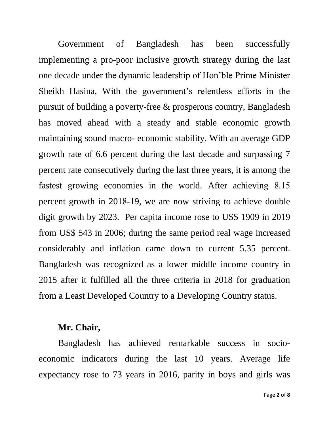Government of Bangladesh has been successfully implementing a pro-poor inclusive growth strategy during the last one decade under the dynamic leadership of Hon'ble Prime Minister Sheikh Hasina, With the government's relentless efforts in the pursuit of building a poverty-free & prosperous country, Bangladesh has moved ahead with a steady and stable economic growth maintaining sound macro- economic stability. With an average GDP growth rate of 6.6 percent during the last decade and surpassing 7 percent rate consecutively during the last three years, it is among the fastest growing economies in the world. After achieving 8.15 percent growth in 2018-19, we are now striving to achieve double digit growth by 2023. Per capita income rose to US\$ 1909 in 2019 from US\$ 543 in 2006; during the same period real wage increased considerably and inflation came down to current 5.35 percent. Bangladesh was recognized as a lower middle income country in 2015 after it fulfilled all the three criteria in 2018 for graduation from a Least Developed Country to a Developing Country status.

## **Mr. Chair,**

Bangladesh has achieved remarkable success in socioeconomic indicators during the last 10 years. Average life expectancy rose to 73 years in 2016, parity in boys and girls was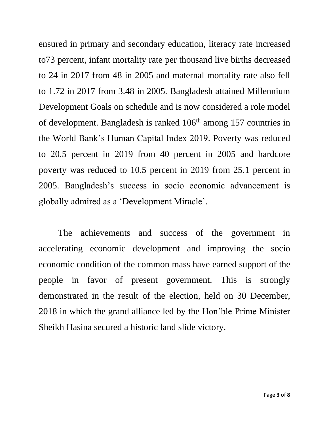ensured in primary and secondary education, literacy rate increased to73 percent, infant mortality rate per thousand live births decreased to 24 in 2017 from 48 in 2005 and maternal mortality rate also fell to 1.72 in 2017 from 3.48 in 2005. Bangladesh attained Millennium Development Goals on schedule and is now considered a role model of development. Bangladesh is ranked 106<sup>th</sup> among 157 countries in the World Bank's Human Capital Index 2019. Poverty was reduced to 20.5 percent in 2019 from 40 percent in 2005 and hardcore poverty was reduced to 10.5 percent in 2019 from 25.1 percent in 2005. Bangladesh's success in socio economic advancement is globally admired as a 'Development Miracle'.

The achievements and success of the government in accelerating economic development and improving the socio economic condition of the common mass have earned support of the people in favor of present government. This is strongly demonstrated in the result of the election, held on 30 December, 2018 in which the grand alliance led by the Hon'ble Prime Minister Sheikh Hasina secured a historic land slide victory.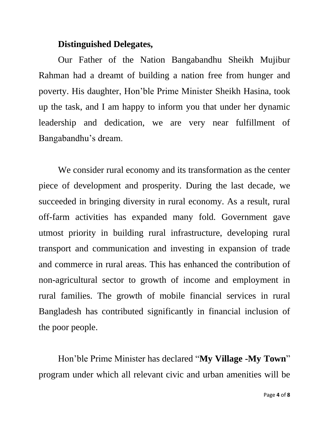## **Distinguished Delegates,**

Our Father of the Nation Bangabandhu Sheikh Mujibur Rahman had a dreamt of building a nation free from hunger and poverty. His daughter, Hon'ble Prime Minister Sheikh Hasina, took up the task, and I am happy to inform you that under her dynamic leadership and dedication, we are very near fulfillment of Bangabandhu's dream.

We consider rural economy and its transformation as the center piece of development and prosperity. During the last decade, we succeeded in bringing diversity in rural economy. As a result, rural off-farm activities has expanded many fold. Government gave utmost priority in building rural infrastructure, developing rural transport and communication and investing in expansion of trade and commerce in rural areas. This has enhanced the contribution of non-agricultural sector to growth of income and employment in rural families. The growth of mobile financial services in rural Bangladesh has contributed significantly in financial inclusion of the poor people.

Hon'ble Prime Minister has declared "**My Village -My Town**" program under which all relevant civic and urban amenities will be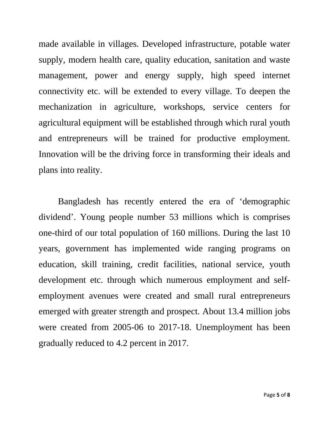made available in villages. Developed infrastructure, potable water supply, modern health care, quality education, sanitation and waste management, power and energy supply, high speed internet connectivity etc. will be extended to every village. To deepen the mechanization in agriculture, workshops, service centers for agricultural equipment will be established through which rural youth and entrepreneurs will be trained for productive employment. Innovation will be the driving force in transforming their ideals and plans into reality.

Bangladesh has recently entered the era of 'demographic dividend'. Young people number 53 millions which is comprises one-third of our total population of 160 millions. During the last 10 years, government has implemented wide ranging programs on education, skill training, credit facilities, national service, youth development etc. through which numerous employment and selfemployment avenues were created and small rural entrepreneurs emerged with greater strength and prospect. About 13.4 million jobs were created from 2005-06 to 2017-18. Unemployment has been gradually reduced to 4.2 percent in 2017.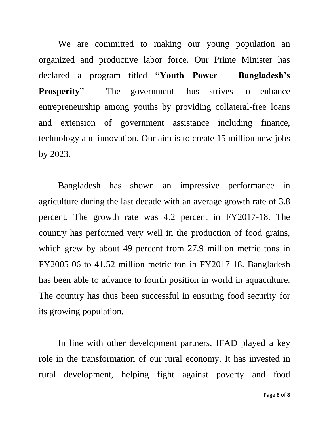We are committed to making our young population an organized and productive labor force. Our Prime Minister has declared a program titled **"Youth Power – Bangladesh's Prosperity**". The government thus strives to enhance entrepreneurship among youths by providing collateral-free loans and extension of government assistance including finance, technology and innovation. Our aim is to create 15 million new jobs by 2023.

Bangladesh has shown an impressive performance in agriculture during the last decade with an average growth rate of 3.8 percent. The growth rate was 4.2 percent in FY2017-18. The country has performed very well in the production of food grains, which grew by about 49 percent from 27.9 million metric tons in FY2005-06 to 41.52 million metric ton in FY2017-18. Bangladesh has been able to advance to fourth position in world in aquaculture. The country has thus been successful in ensuring food security for its growing population.

In line with other development partners, IFAD played a key role in the transformation of our rural economy. It has invested in rural development, helping fight against poverty and food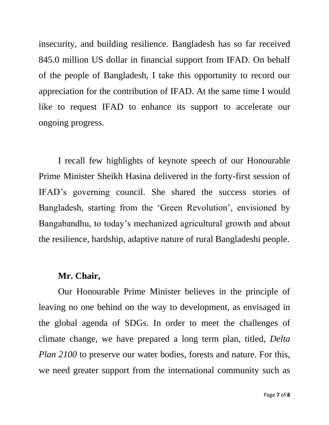insecurity, and building resilience. Bangladesh has so far received 845.0 million US dollar in financial support from IFAD. On behalf of the people of Bangladesh, I take this opportunity to record our appreciation for the contribution of IFAD. At the same time I would like to request IFAD to enhance its support to accelerate our ongoing progress.

I recall few highlights of keynote speech of our Honourable Prime Minister Sheikh Hasina delivered in the forty-first session of IFAD's governing council. She shared the success stories of Bangladesh, starting from the 'Green Revolution', envisioned by Bangabandhu, to today's mechanized agricultural growth and about the resilience, hardship, adaptive nature of rural Bangladeshi people.

## **Mr. Chair,**

Our Honourable Prime Minister believes in the principle of leaving no one behind on the way to development, as envisaged in the global agenda of SDGs. In order to meet the challenges of climate change, we have prepared a long term plan, titled, *Delta Plan 2100* to preserve our water bodies, forests and nature. For this, we need greater support from the international community such as